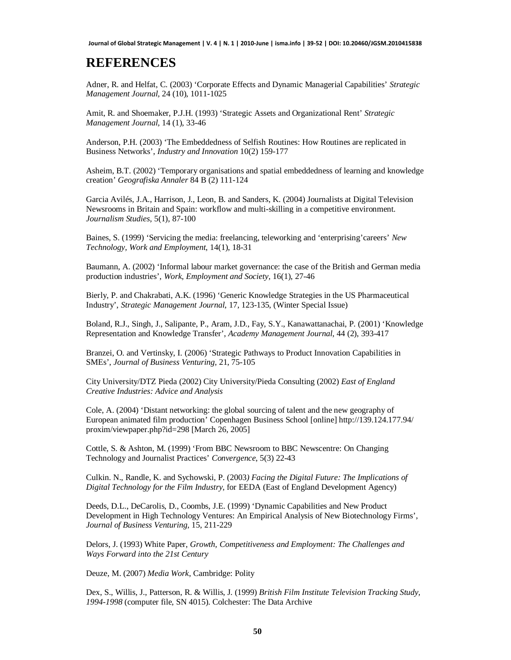## **REFERENCES**

Adner, R. and Helfat, C. (2003) 'Corporate Effects and Dynamic Managerial Capabilities' *Strategic Management Journal,* 24 (10), 1011-1025

Amit, R. and Shoemaker, P.J.H. (1993) 'Strategic Assets and Organizational Rent' *Strategic Management Journal,* 14 (1), 33-46

Anderson, P.H. (2003) 'The Embeddedness of Selfish Routines: How Routines are replicated in Business Networks', *Industry and Innovation* 10(2) 159-177

Asheim, B.T. (2002) 'Temporary organisations and spatial embeddedness of learning and knowledge creation' *Geografiska Annaler* 84 B (2) 111-124

Garcia Avilés, J.A., Harrison, J., Leon, B. and Sanders, K. (2004) Journalists at Digital Television Newsrooms in Britain and Spain: workflow and multi-skilling in a competitive environment. *Journalism Studies*, 5(1), 87-100

Baines, S. (1999) 'Servicing the media: freelancing, teleworking and 'enterprising'careers' *New Technology, Work and Employment*, 14(1), 18-31

Baumann, A. (2002) 'Informal labour market governance: the case of the British and German media production industries', *Work, Employment and Society,* 16(1), 27-46

Bierly, P. and Chakrabati, A.K. (1996) 'Generic Knowledge Strategies in the US Pharmaceutical Industry', *Strategic Management Journal*, 17, 123-135, (Winter Special Issue)

Boland, R.J., Singh, J., Salipante, P., Aram, J.D., Fay, S.Y., Kanawattanachai, P. (2001) 'Knowledge Representation and Knowledge Transfer', *Academy Management Journal*, 44 (2), 393-417

Branzei, O. and Vertinsky, I. (2006) 'Strategic Pathways to Product Innovation Capabilities in SMEs', *Journal of Business Venturing,* 21, 75-105

City University/DTZ Pieda (2002) City University/Pieda Consulting (2002) *East of England Creative Industries: Advice and Analysis*

Cole, A. (2004) 'Distant networking: the global sourcing of talent and the new geography of European animated film production' Copenhagen Business School [online]<http://139.124.177.94/> proxim/viewpaper.php?id=298 [March 26, 2005]

Cottle, S. & Ashton, M. (1999) 'From BBC Newsroom to BBC Newscentre: On Changing Technology and Journalist Practices' *Convergence*, 5(3) 22-43

Culkin. N., Randle, K. and Sychowski, P. (2003*) Facing the Digital Future: The Implications of Digital Technology for the Film Industry*, for EEDA (East of England Development Agency)

Deeds, D.L., DeCarolis, D., Coombs, J.E. (1999) 'Dynamic Capabilities and New Product Development in High Technology Ventures: An Empirical Analysis of New Biotechnology Firms', *Journal of Business Venturing,* 15, 211-229

Delors, J. (1993) White Paper, *Growth, Competitiveness and Employment: The Challenges and Ways Forward into the 21st Century*

Deuze, M. (2007) *Media Work*, Cambridge: Polity

Dex, S., Willis, J., Patterson, R. & Willis, J. (1999) *British Film Institute Television Tracking Study, 1994-1998* (computer file, SN 4015). Colchester: The Data Archive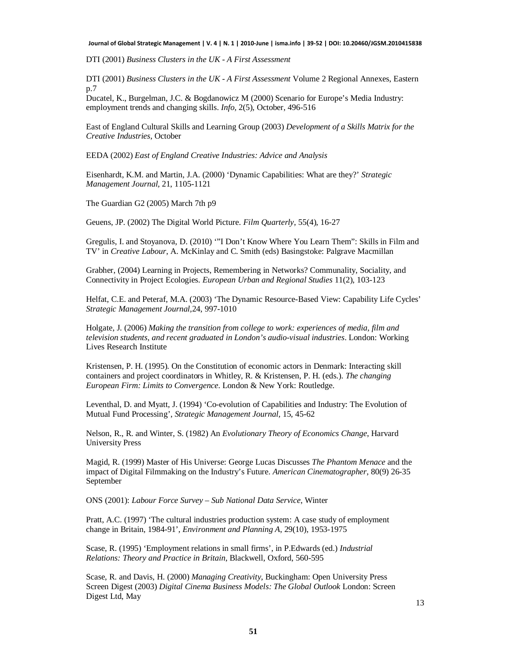**Journal of Global Strategic Management | V. 4 | N. 1 | 2010-June | isma.info | 39-52 | DOI: 10.20460/JGSM.2010415838**

DTI (2001) *Business Clusters in the UK - A First Assessment*

DTI (2001) *Business Clusters in the UK - A First Assessment* Volume 2 Regional Annexes, Eastern p.7

Ducatel, K., Burgelman, J.C. & Bogdanowicz M (2000) Scenario for Europe's Media Industry: employment trends and changing skills. *Info,* 2(5), October, 496-516

East of England Cultural Skills and Learning Group (2003) *Development of a Skills Matrix for the Creative Industries*, October

EEDA (2002) *East of England Creative Industries: Advice and Analysis*

Eisenhardt, K.M. and Martin, J.A. (2000) 'Dynamic Capabilities: What are they?' *Strategic Management Journal,* 21, 1105-1121

The Guardian G2 (2005) March 7th p9

Geuens, JP. (2002) The Digital World Picture. *Film Quarterly*, 55(4), 16-27

Gregulis, I. and Stoyanova, D. (2010) '"I Don't Know Where You Learn Them": Skills in Film and TV' in *Creative Labour*, A. McKinlay and C. Smith (eds) Basingstoke: Palgrave Macmillan

Grabher, (2004) Learning in Projects, Remembering in Networks? Communality, Sociality, and Connectivity in Project Ecologies. *European Urban and Regional Studies* 11(2), 103-123

Helfat, C.E. and Peteraf, M.A. (2003) 'The Dynamic Resource-Based View: Capability Life Cycles' *Strategic Management Journal,*24, 997-1010

Holgate, J. (2006) *Making the transition from college to work: experiences of media, film and television students, and recent graduated in London's audio-visual industries*. London: Working Lives Research Institute

Kristensen, P. H. (1995). On the Constitution of economic actors in Denmark: Interacting skill containers and project coordinators in Whitley, R. & Kristensen, P. H. (eds.). *The changing European Firm: Limits to Convergence*. London & New York: Routledge.

Leventhal, D. and Myatt, J. (1994) 'Co-evolution of Capabilities and Industry: The Evolution of Mutual Fund Processing', *Strategic Management Journal,* 15, 45-62

Nelson, R., R. and Winter, S. (1982) An *Evolutionary Theory of Economics Change*, Harvard University Press

Magid, R. (1999) Master of His Universe: George Lucas Discusses *The Phantom Menace* and the impact of Digital Filmmaking on the Industry's Future. *American Cinematographer*, 80(9) 26-35 September

ONS (2001): *Labour Force Survey – Sub National Data Service*, Winter

Pratt, A.C. (1997) 'The cultural industries production system: A case study of employment change in Britain, 1984-91', *Environment and Planning A*, 29(10), 1953-1975

Scase, R. (1995) 'Employment relations in small firms', in P.Edwards (ed.) *Industrial Relations: Theory and Practice in Britain*, Blackwell, Oxford, 560-595

Scase, R. and Davis, H. (2000) *Managing Creativity*, Buckingham: Open University Press Screen Digest (2003) *Digital Cinema Business Models: The Global Outlook* London: Screen Digest Ltd, May